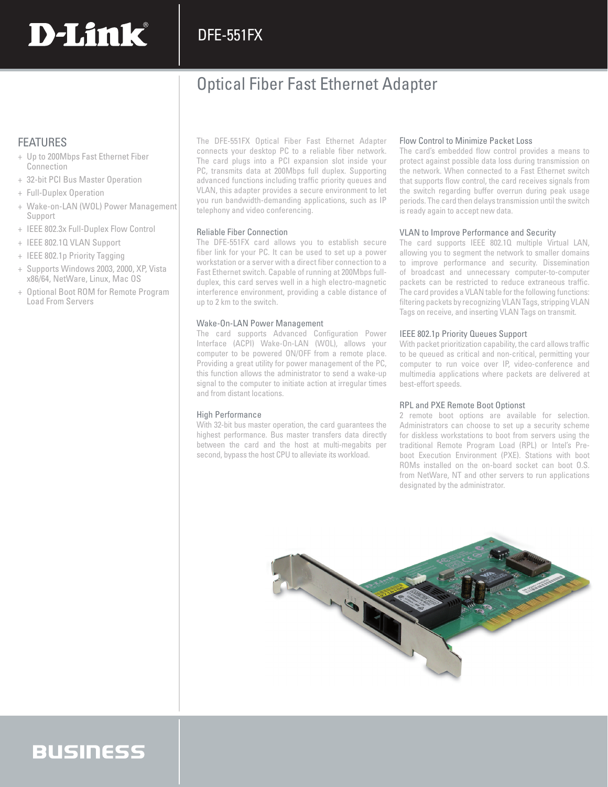### DFE-551FX

### Optical Fiber Fast Ethernet Adapter

### FEATURES

+ Up to 200Mbps Fast Ethernet Fiber **Connection** 

**D-Link** 

- + 32-bit PCI Bus Master Operation
- + Full-Duplex Operation
- + Wake-on-LAN (WOL) Power Management Support
- + IEEE 802.3x Full-Duplex Flow Control
- + IEEE 802.1Q VLAN Support
- + IEEE 802.1p Priority Tagging
- + Supports Windows 2003, 2000, XP, Vista x86/64, NetWare, Linux, Mac OS
- + Optional Boot ROM for Remote Program Load From Servers

The DFE-551FX Optical Fiber Fast Ethernet Adapter connects your desktop PC to a reliable fiber network. The card plugs into a PCI expansion slot inside your PC, transmits data at 200Mbps full duplex. Supporting advanced functions including traffic priority queues and VLAN, this adapter provides a secure environment to let you run bandwidth-demanding applications, such as IP telephony and video conferencing.

#### Reliable Fiber Connection

The DFE-551FX card allows you to establish secure fiber link for your PC. It can be used to set up a power workstation or a server with a direct fiber connection to a Fast Ethernet switch. Capable of running at 200Mbps fullduplex, this card serves well in a high electro-magnetic interference environment, providing a cable distance of up to 2 km to the switch.

#### Wake-On-LAN Power Management

The card supports Advanced Configuration Power Interface (ACPI) Wake-On-LAN (WOL), allows your computer to be powered ON/OFF from a remote place. Providing a great utility for power management of the PC, this function allows the administrator to send a wake-up signal to the computer to initiate action at irregular times and from distant locations.

#### High Performance

With 32-bit bus master operation, the card guarantees the highest performance. Bus master transfers data directly between the card and the host at multi-megabits per second, bypass the host CPU to alleviate its workload.

#### Flow Control to Minimize Packet Loss

The card's embedded flow control provides a means to protect against possible data loss during transmission on the network. When connected to a Fast Ethernet switch that supports flow control, the card receives signals from the switch regarding buffer overrun during peak usage periods. The card then delays transmission until the switch is ready again to accept new data.

#### VLAN to Improve Performance and Security

The card supports IEEE 802.1Q multiple Virtual LAN, allowing you to segment the network to smaller domains to improve performance and security. Dissemination of broadcast and unnecessary computer-to-computer packets can be restricted to reduce extraneous traffic. The card provides a VLAN table for the following functions: filtering packets by recognizing VLAN Tags, stripping VLAN Tags on receive, and inserting VLAN Tags on transmit.

#### IEEE 802.1p Priority Queues Support

With packet prioritization capability, the card allows traffic to be queued as critical and non-critical, permitting your computer to run voice over IP, video-conference and multimedia applications where packets are delivered at best-effort speeds.

#### RPL and PXE Remote Boot Optionst

2 remote boot options are available for selection. Administrators can choose to set up a security scheme for diskless workstations to boot from servers using the traditional Remote Program Load (RPL) or Intel's Preboot Execution Environment (PXE). Stations with boot ROMs installed on the on-board socket can boot O.S. from NetWare, NT and other servers to run applications designated by the administrator.



## **BUSINESS**